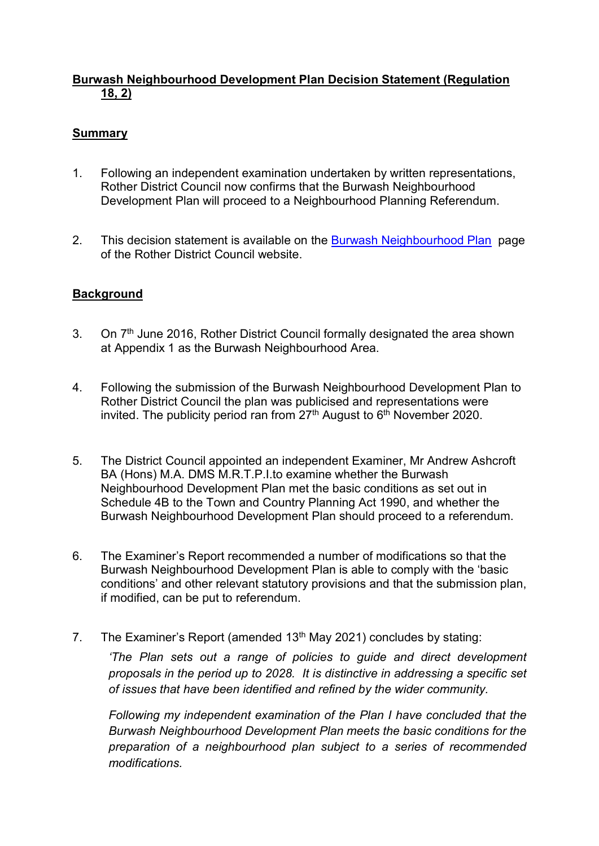## Burwash Neighbourhood Development Plan Decision Statement (Regulation 18, 2)

## **Summary**

- 1. Following an independent examination undertaken by written representations, Rother District Council now confirms that the Burwash Neighbourhood Development Plan will proceed to a Neighbourhood Planning Referendum.
- 2. This decision statement is available on the Burwash Neighbourhood Plan page of the Rother District Council website.

## **Background**

- 3. On 7<sup>th</sup> June 2016, Rother District Council formally designated the area shown at Appendix 1 as the Burwash Neighbourhood Area.
- 4. Following the submission of the Burwash Neighbourhood Development Plan to Rother District Council the plan was publicised and representations were invited. The publicity period ran from  $27<sup>th</sup>$  August to  $6<sup>th</sup>$  November 2020.
- 5. The District Council appointed an independent Examiner, Mr Andrew Ashcroft BA (Hons) M.A. DMS M.R.T.P.I.to examine whether the Burwash Neighbourhood Development Plan met the basic conditions as set out in Schedule 4B to the Town and Country Planning Act 1990, and whether the Burwash Neighbourhood Development Plan should proceed to a referendum.
- 6. The Examiner's Report recommended a number of modifications so that the Burwash Neighbourhood Development Plan is able to comply with the 'basic conditions' and other relevant statutory provisions and that the submission plan, if modified, can be put to referendum.
- 7. The Examiner's Report (amended  $13<sup>th</sup>$  May 2021) concludes by stating:

'The Plan sets out a range of policies to guide and direct development proposals in the period up to 2028. It is distinctive in addressing a specific set of issues that have been identified and refined by the wider community.

Following my independent examination of the Plan I have concluded that the Burwash Neighbourhood Development Plan meets the basic conditions for the preparation of a neighbourhood plan subject to a series of recommended modifications.